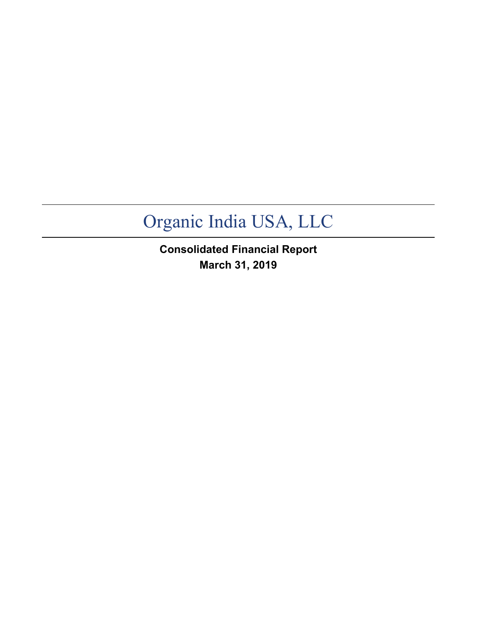**Consolidated Financial Report March 31, 2019**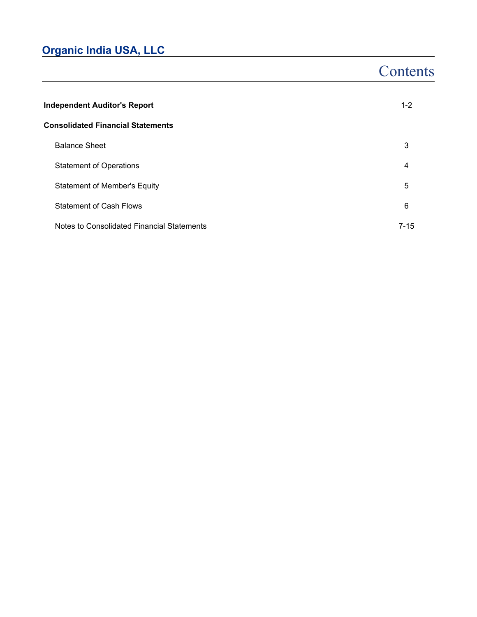# **Contents**

| <b>Independent Auditor's Report</b>        | $1 - 2$  |
|--------------------------------------------|----------|
| <b>Consolidated Financial Statements</b>   |          |
| <b>Balance Sheet</b>                       | 3        |
| <b>Statement of Operations</b>             | 4        |
| <b>Statement of Member's Equity</b>        | 5        |
| <b>Statement of Cash Flows</b>             | 6        |
| Notes to Consolidated Financial Statements | $7 - 15$ |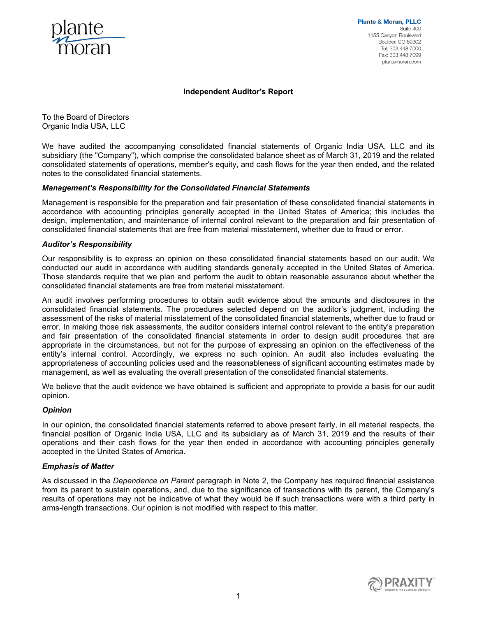

**Plante & Moran, PLLC** Suite 400 1155 Canyon Boulevard Boulder, CO 80302 Tel: 303 448 7000 Fax: 303,448,7099 plantemoran.com

#### **Independent Auditor's Report**

To the Board of Directors Organic India USA, LLC

We have audited the accompanying consolidated financial statements of Organic India USA, LLC and its subsidiary (the "Company"), which comprise the consolidated balance sheet as of March 31, 2019 and the related consolidated statements of operations, member's equity, and cash flows for the year then ended, and the related notes to the consolidated financial statements.

#### *Management's Responsibility for the Consolidated Financial Statements*

Management is responsible for the preparation and fair presentation of these consolidated financial statements in accordance with accounting principles generally accepted in the United States of America; this includes the design, implementation, and maintenance of internal control relevant to the preparation and fair presentation of consolidated financial statements that are free from material misstatement, whether due to fraud or error.

#### *Auditor's Responsibility*

Our responsibility is to express an opinion on these consolidated financial statements based on our audit. We conducted our audit in accordance with auditing standards generally accepted in the United States of America. Those standards require that we plan and perform the audit to obtain reasonable assurance about whether the consolidated financial statements are free from material misstatement.

An audit involves performing procedures to obtain audit evidence about the amounts and disclosures in the consolidated financial statements. The procedures selected depend on the auditor's judgment, including the assessment of the risks of material misstatement of the consolidated financial statements, whether due to fraud or error. In making those risk assessments, the auditor considers internal control relevant to the entity's preparation and fair presentation of the consolidated financial statements in order to design audit procedures that are appropriate in the circumstances, but not for the purpose of expressing an opinion on the effectiveness of the entity's internal control. Accordingly, we express no such opinion. An audit also includes evaluating the appropriateness of accounting policies used and the reasonableness of significant accounting estimates made by management, as well as evaluating the overall presentation of the consolidated financial statements.

We believe that the audit evidence we have obtained is sufficient and appropriate to provide a basis for our audit opinion.

#### *Opinion*

In our opinion, the consolidated financial statements referred to above present fairly, in all material respects, the financial position of Organic India USA, LLC and its subsidiary as of March 31, 2019 and the results of their operations and their cash flows for the year then ended in accordance with accounting principles generally accepted in the United States of America.

#### *Emphasis of Matter*

As discussed in the *Dependence on Parent* paragraph in Note 2, the Company has required financial assistance from its parent to sustain operations, and, due to the significance of transactions with its parent, the Company's results of operations may not be indicative of what they would be if such transactions were with a third party in arms-length transactions. Our opinion is not modified with respect to this matter.

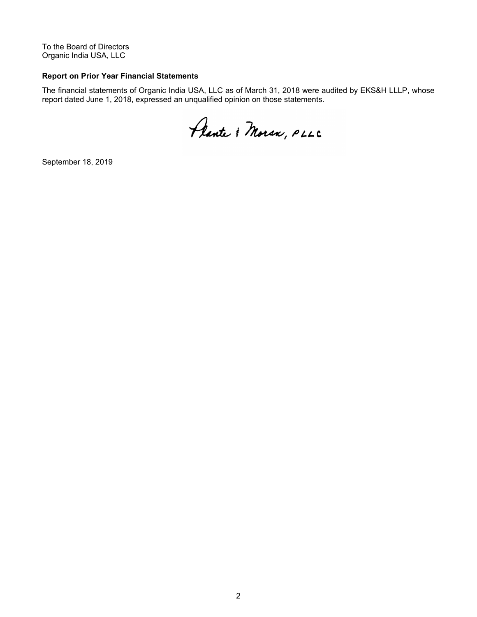To the Board of Directors Organic India USA, LLC

#### **Report on Prior Year Financial Statements**

The financial statements of Organic India USA, LLC as of March 31, 2018 were audited by EKS&H LLLP, whose report dated June 1, 2018, expressed an unqualified opinion on those statements.

Plante & Moran, PLLC

September 18, 2019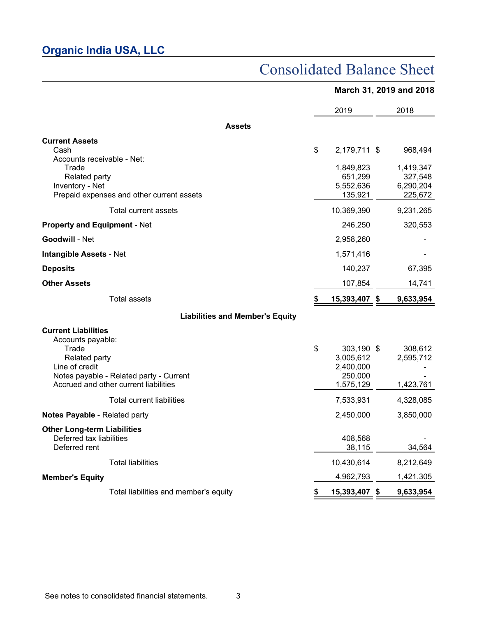# Consolidated Balance Sheet

|                                                                                                                                                                                 | March 31, 2019 and 2018 |                                                              |  |                                                         |
|---------------------------------------------------------------------------------------------------------------------------------------------------------------------------------|-------------------------|--------------------------------------------------------------|--|---------------------------------------------------------|
|                                                                                                                                                                                 |                         | 2019                                                         |  | 2018                                                    |
| <b>Assets</b>                                                                                                                                                                   |                         |                                                              |  |                                                         |
| <b>Current Assets</b><br>Cash<br>Accounts receivable - Net:<br>Trade<br>Related party<br>Inventory - Net<br>Prepaid expenses and other current assets                           | \$                      | 2,179,711 \$<br>1,849,823<br>651,299<br>5,552,636<br>135,921 |  | 968,494<br>1,419,347<br>327,548<br>6,290,204<br>225,672 |
| Total current assets                                                                                                                                                            |                         | 10,369,390                                                   |  | 9,231,265                                               |
| <b>Property and Equipment - Net</b>                                                                                                                                             |                         | 246,250                                                      |  | 320,553                                                 |
| <b>Goodwill - Net</b>                                                                                                                                                           |                         | 2,958,260                                                    |  |                                                         |
| <b>Intangible Assets - Net</b>                                                                                                                                                  |                         | 1,571,416                                                    |  |                                                         |
| <b>Deposits</b>                                                                                                                                                                 |                         | 140,237                                                      |  | 67,395                                                  |
| <b>Other Assets</b>                                                                                                                                                             |                         | 107,854                                                      |  | 14,741                                                  |
| <b>Total assets</b>                                                                                                                                                             | \$                      | 15,393,407 \$                                                |  | 9,633,954                                               |
| <b>Liabilities and Member's Equity</b>                                                                                                                                          |                         |                                                              |  |                                                         |
| <b>Current Liabilities</b><br>Accounts payable:<br>Trade<br>Related party<br>Line of credit<br>Notes payable - Related party - Current<br>Accrued and other current liabilities | \$                      | 303,190 \$<br>3,005,612<br>2,400,000<br>250,000<br>1,575,129 |  | 308,612<br>2,595,712<br>1,423,761                       |
| Total current liabilities                                                                                                                                                       |                         | 7,533,931                                                    |  | 4,328,085                                               |
| Notes Payable - Related party                                                                                                                                                   |                         | 2,450,000                                                    |  | 3,850,000                                               |
| <b>Other Long-term Liabilities</b><br>Deferred tax liabilities<br>Deferred rent                                                                                                 |                         | 408,568<br>38,115                                            |  | 34,564                                                  |
| <b>Total liabilities</b>                                                                                                                                                        |                         | 10,430,614                                                   |  | 8,212,649                                               |
| <b>Member's Equity</b>                                                                                                                                                          |                         | 4,962,793                                                    |  | 1,421,305                                               |

Total liabilities and member's equity **\$ 15,393,407 \$ 9,633,954**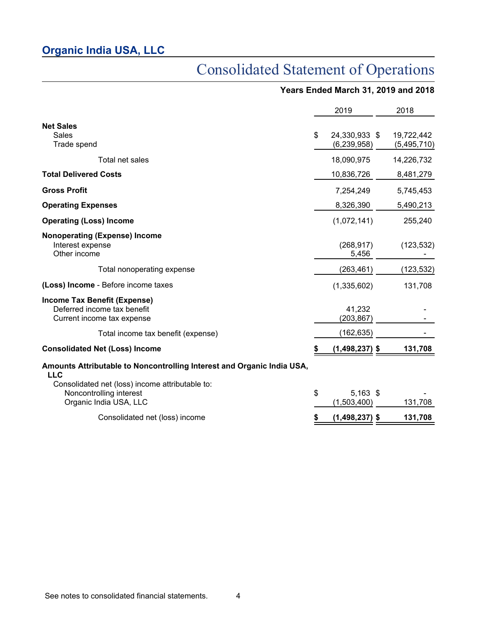# Consolidated Statement of Operations

### **Years Ended March 31, 2019 and 2018**

|                                                                                                      | 2019                               | 2018                      |
|------------------------------------------------------------------------------------------------------|------------------------------------|---------------------------|
| <b>Net Sales</b><br><b>Sales</b><br>Trade spend                                                      | \$<br>24,330,933 \$<br>(6,239,958) | 19,722,442<br>(5,495,710) |
| Total net sales                                                                                      | 18,090,975                         | 14,226,732                |
| <b>Total Delivered Costs</b>                                                                         | 10,836,726                         | 8,481,279                 |
| <b>Gross Profit</b>                                                                                  | 7,254,249                          | 5,745,453                 |
| <b>Operating Expenses</b>                                                                            | 8,326,390                          | 5,490,213                 |
| <b>Operating (Loss) Income</b>                                                                       | (1,072,141)                        | 255,240                   |
| <b>Nonoperating (Expense) Income</b><br>Interest expense<br>Other income                             | (268, 917)<br>5,456                | (123, 532)                |
| Total nonoperating expense                                                                           | (263, 461)                         | (123, 532)                |
| (Loss) Income - Before income taxes                                                                  | (1,335,602)                        | 131,708                   |
| Income Tax Benefit (Expense)<br>Deferred income tax benefit<br>Current income tax expense            | 41,232<br>(203, 867)               |                           |
| Total income tax benefit (expense)                                                                   | (162, 635)                         |                           |
| <b>Consolidated Net (Loss) Income</b>                                                                | $(1,498,237)$ \$                   | 131,708                   |
| Amounts Attributable to Noncontrolling Interest and Organic India USA,<br><b>LLC</b>                 |                                    |                           |
| Consolidated net (loss) income attributable to:<br>Noncontrolling interest<br>Organic India USA, LLC | \$<br>$5,163$ \$<br>(1,503,400)    | 131,708                   |
| Consolidated net (loss) income                                                                       | $(1,498,237)$ \$                   | 131,708                   |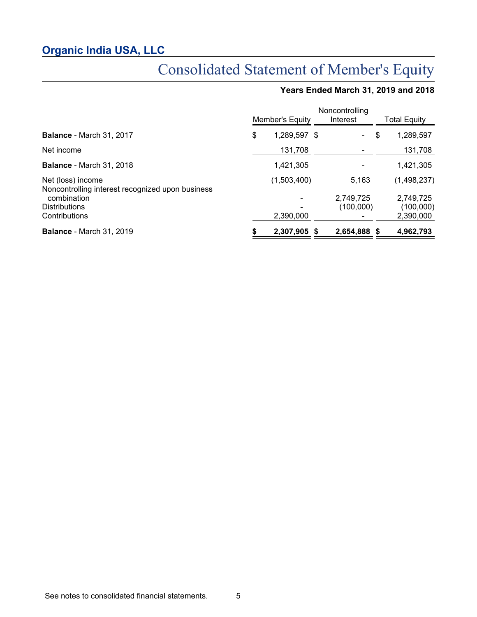# Consolidated Statement of Member's Equity

# **Years Ended March 31, 2019 and 2018**

|                                                                       | Noncontrolling<br>Member's Equity<br>Interest |              |      |                        |    | Total Equity           |  |
|-----------------------------------------------------------------------|-----------------------------------------------|--------------|------|------------------------|----|------------------------|--|
| <b>Balance - March 31, 2017</b>                                       | \$                                            | 1,289,597 \$ |      |                        | \$ | 1,289,597              |  |
| Net income                                                            |                                               | 131,708      |      |                        |    | 131,708                |  |
| <b>Balance - March 31, 2018</b>                                       |                                               | 1,421,305    |      |                        |    | 1,421,305              |  |
| Net (loss) income<br>Noncontrolling interest recognized upon business |                                               | (1,503,400)  |      | 5,163                  |    | (1,498,237)            |  |
| combination<br><b>Distributions</b>                                   |                                               |              |      | 2,749,725<br>(100,000) |    | 2,749,725<br>(100,000) |  |
| Contributions                                                         |                                               | 2,390,000    |      |                        |    | 2,390,000              |  |
| <b>Balance - March 31, 2019</b>                                       |                                               | 2,307,905    | - \$ | 2,654,888 \$           |    | 4,962,793              |  |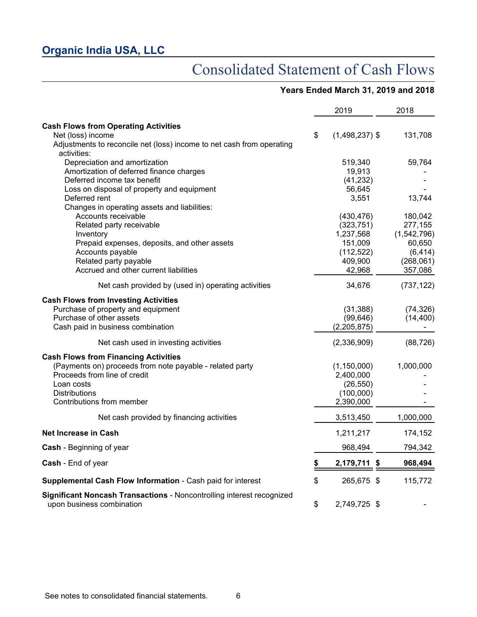# Consolidated Statement of Cash Flows

### **Years Ended March 31, 2019 and 2018**

|                                                                                                    | 2019                   | 2018        |
|----------------------------------------------------------------------------------------------------|------------------------|-------------|
| <b>Cash Flows from Operating Activities</b>                                                        |                        |             |
| Net (loss) income                                                                                  | \$<br>$(1,498,237)$ \$ | 131,708     |
| Adjustments to reconcile net (loss) income to net cash from operating<br>activities:               |                        |             |
| Depreciation and amortization                                                                      | 519,340                | 59,764      |
| Amortization of deferred finance charges                                                           | 19,913                 |             |
| Deferred income tax benefit                                                                        | (41, 232)              |             |
| Loss on disposal of property and equipment                                                         | 56,645                 |             |
| Deferred rent                                                                                      | 3,551                  | 13,744      |
| Changes in operating assets and liabilities:                                                       |                        |             |
| Accounts receivable                                                                                | (430, 476)             | 180,042     |
| Related party receivable                                                                           | (323, 751)             | 277,155     |
| Inventory                                                                                          | 1,237,568              | (1,542,796) |
| Prepaid expenses, deposits, and other assets                                                       | 151,009                | 60,650      |
| Accounts payable                                                                                   | (112, 522)             | (6, 414)    |
| Related party payable                                                                              | 409,900                | (268, 061)  |
| Accrued and other current liabilities                                                              | 42,968                 | 357,086     |
| Net cash provided by (used in) operating activities                                                | 34,676                 | (737, 122)  |
| <b>Cash Flows from Investing Activities</b>                                                        |                        |             |
| Purchase of property and equipment                                                                 | (31, 388)              | (74, 326)   |
| Purchase of other assets                                                                           | (99, 646)              | (14, 400)   |
| Cash paid in business combination                                                                  | (2,205,875)            |             |
| Net cash used in investing activities                                                              | (2,336,909)            | (88, 726)   |
| <b>Cash Flows from Financing Activities</b>                                                        |                        |             |
| (Payments on) proceeds from note payable - related party                                           | (1, 150, 000)          | 1,000,000   |
| Proceeds from line of credit                                                                       | 2,400,000              |             |
| Loan costs                                                                                         | (26, 550)              |             |
| <b>Distributions</b>                                                                               | (100,000)              |             |
| Contributions from member                                                                          | 2,390,000              |             |
| Net cash provided by financing activities                                                          | 3,513,450              | 1,000,000   |
| <b>Net Increase in Cash</b>                                                                        | 1,211,217              | 174,152     |
| <b>Cash</b> - Beginning of year                                                                    | 968,494                | 794,342     |
| <b>Cash</b> - End of year                                                                          | \$<br>2,179,711 \$     | 968,494     |
| Supplemental Cash Flow Information - Cash paid for interest                                        | \$<br>265,675 \$       | 115,772     |
| Significant Noncash Transactions - Noncontrolling interest recognized<br>upon business combination | \$<br>2,749,725 \$     |             |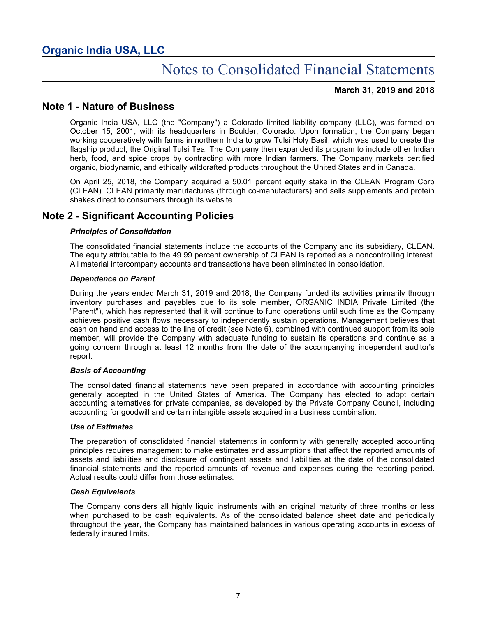#### **March 31, 2019 and 2018**

### **Note 1 - Nature of Business**

Organic India USA, LLC (the "Company") a Colorado limited liability company (LLC), was formed on October 15, 2001, with its headquarters in Boulder, Colorado. Upon formation, the Company began working cooperatively with farms in northern India to grow Tulsi Holy Basil, which was used to create the flagship product, the Original Tulsi Tea. The Company then expanded its program to include other Indian herb, food, and spice crops by contracting with more Indian farmers. The Company markets certified organic, biodynamic, and ethically wildcrafted products throughout the United States and in Canada.

On April 25, 2018, the Company acquired a 50.01 percent equity stake in the CLEAN Program Corp (CLEAN). CLEAN primarily manufactures (through co-manufacturers) and sells supplements and protein shakes direct to consumers through its website.

### **Note 2 - Significant Accounting Policies**

#### *Principles of Consolidation*

The consolidated financial statements include the accounts of the Company and its subsidiary, CLEAN. The equity attributable to the 49.99 percent ownership of CLEAN is reported as a noncontrolling interest. All material intercompany accounts and transactions have been eliminated in consolidation.

#### *Dependence on Parent*

During the years ended March 31, 2019 and 2018, the Company funded its activities primarily through inventory purchases and payables due to its sole member, ORGANIC INDIA Private Limited (the "Parent"), which has represented that it will continue to fund operations until such time as the Company achieves positive cash flows necessary to independently sustain operations. Management believes that cash on hand and access to the line of credit (see Note 6), combined with continued support from its sole member, will provide the Company with adequate funding to sustain its operations and continue as a going concern through at least 12 months from the date of the accompanying independent auditor's report.

#### *Basis of Accounting*

The consolidated financial statements have been prepared in accordance with accounting principles generally accepted in the United States of America. The Company has elected to adopt certain accounting alternatives for private companies, as developed by the Private Company Council, including accounting for goodwill and certain intangible assets acquired in a business combination.

#### *Use of Estimates*

The preparation of consolidated financial statements in conformity with generally accepted accounting principles requires management to make estimates and assumptions that affect the reported amounts of assets and liabilities and disclosure of contingent assets and liabilities at the date of the consolidated financial statements and the reported amounts of revenue and expenses during the reporting period. Actual results could differ from those estimates.

#### *Cash Equivalents*

The Company considers all highly liquid instruments with an original maturity of three months or less when purchased to be cash equivalents. As of the consolidated balance sheet date and periodically throughout the year, the Company has maintained balances in various operating accounts in excess of federally insured limits.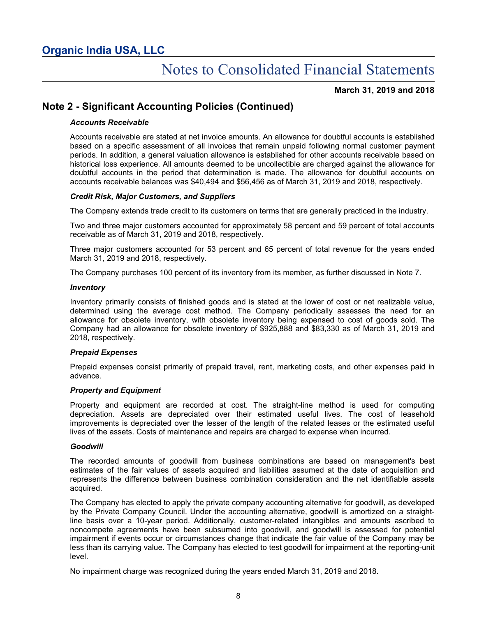#### **March 31, 2019 and 2018**

### **Note 2 - Significant Accounting Policies (Continued)**

#### *Accounts Receivable*

Accounts receivable are stated at net invoice amounts. An allowance for doubtful accounts is established based on a specific assessment of all invoices that remain unpaid following normal customer payment periods. In addition, a general valuation allowance is established for other accounts receivable based on historical loss experience. All amounts deemed to be uncollectible are charged against the allowance for doubtful accounts in the period that determination is made. The allowance for doubtful accounts on accounts receivable balances was \$40,494 and \$56,456 as of March 31, 2019 and 2018, respectively.

#### *Credit Risk, Major Customers, and Suppliers*

The Company extends trade credit to its customers on terms that are generally practiced in the industry.

Two and three major customers accounted for approximately 58 percent and 59 percent of total accounts receivable as of March 31, 2019 and 2018, respectively.

Three major customers accounted for 53 percent and 65 percent of total revenue for the years ended March 31, 2019 and 2018, respectively.

The Company purchases 100 percent of its inventory from its member, as further discussed in Note 7.

#### *Inventory*

Inventory primarily consists of finished goods and is stated at the lower of cost or net realizable value, determined using the average cost method. The Company periodically assesses the need for an allowance for obsolete inventory, with obsolete inventory being expensed to cost of goods sold. The Company had an allowance for obsolete inventory of \$925,888 and \$83,330 as of March 31, 2019 and 2018, respectively.

#### *Prepaid Expenses*

Prepaid expenses consist primarily of prepaid travel, rent, marketing costs, and other expenses paid in advance.

#### *Property and Equipment*

Property and equipment are recorded at cost. The straight-line method is used for computing depreciation. Assets are depreciated over their estimated useful lives. The cost of leasehold improvements is depreciated over the lesser of the length of the related leases or the estimated useful lives of the assets. Costs of maintenance and repairs are charged to expense when incurred.

#### *Goodwill*

The recorded amounts of goodwill from business combinations are based on management's best estimates of the fair values of assets acquired and liabilities assumed at the date of acquisition and represents the difference between business combination consideration and the net identifiable assets acquired.

The Company has elected to apply the private company accounting alternative for goodwill, as developed by the Private Company Council. Under the accounting alternative, goodwill is amortized on a straightline basis over a 10-year period. Additionally, customer-related intangibles and amounts ascribed to noncompete agreements have been subsumed into goodwill, and goodwill is assessed for potential impairment if events occur or circumstances change that indicate the fair value of the Company may be less than its carrying value. The Company has elected to test goodwill for impairment at the reporting-unit level.

No impairment charge was recognized during the years ended March 31, 2019 and 2018.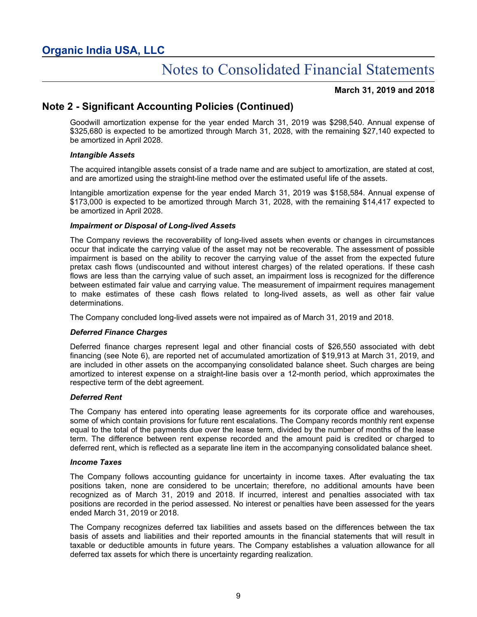#### **March 31, 2019 and 2018**

### **Note 2 - Significant Accounting Policies (Continued)**

Goodwill amortization expense for the year ended March 31, 2019 was \$298,540. Annual expense of \$325,680 is expected to be amortized through March 31, 2028, with the remaining \$27,140 expected to be amortized in April 2028.

#### *Intangible Assets*

The acquired intangible assets consist of a trade name and are subject to amortization, are stated at cost, and are amortized using the straight-line method over the estimated useful life of the assets.

Intangible amortization expense for the year ended March 31, 2019 was \$158,584. Annual expense of \$173,000 is expected to be amortized through March 31, 2028, with the remaining \$14,417 expected to be amortized in April 2028.

#### *Impairment or Disposal of Long-lived Assets*

The Company reviews the recoverability of long-lived assets when events or changes in circumstances occur that indicate the carrying value of the asset may not be recoverable. The assessment of possible impairment is based on the ability to recover the carrying value of the asset from the expected future pretax cash flows (undiscounted and without interest charges) of the related operations. If these cash flows are less than the carrying value of such asset, an impairment loss is recognized for the difference between estimated fair value and carrying value. The measurement of impairment requires management to make estimates of these cash flows related to long-lived assets, as well as other fair value determinations.

The Company concluded long-lived assets were not impaired as of March 31, 2019 and 2018.

#### *Deferred Finance Charges*

Deferred finance charges represent legal and other financial costs of \$26,550 associated with debt financing (see Note 6), are reported net of accumulated amortization of \$19,913 at March 31, 2019, and are included in other assets on the accompanying consolidated balance sheet. Such charges are being amortized to interest expense on a straight-line basis over a 12-month period, which approximates the respective term of the debt agreement.

#### *Deferred Rent*

The Company has entered into operating lease agreements for its corporate office and warehouses, some of which contain provisions for future rent escalations. The Company records monthly rent expense equal to the total of the payments due over the lease term, divided by the number of months of the lease term. The difference between rent expense recorded and the amount paid is credited or charged to deferred rent, which is reflected as a separate line item in the accompanying consolidated balance sheet.

#### *Income Taxes*

The Company follows accounting guidance for uncertainty in income taxes. After evaluating the tax positions taken, none are considered to be uncertain; therefore, no additional amounts have been recognized as of March 31, 2019 and 2018. If incurred, interest and penalties associated with tax positions are recorded in the period assessed. No interest or penalties have been assessed for the years ended March 31, 2019 or 2018.

The Company recognizes deferred tax liabilities and assets based on the differences between the tax basis of assets and liabilities and their reported amounts in the financial statements that will result in taxable or deductible amounts in future years. The Company establishes a valuation allowance for all deferred tax assets for which there is uncertainty regarding realization.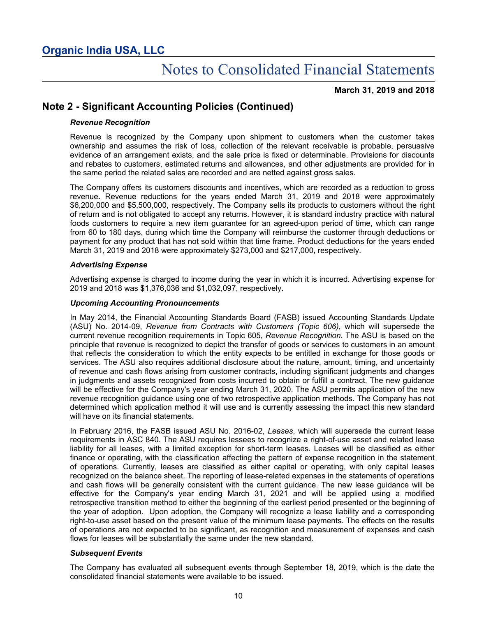**March 31, 2019 and 2018**

## **Note 2 - Significant Accounting Policies (Continued)**

#### *Revenue Recognition*

Revenue is recognized by the Company upon shipment to customers when the customer takes ownership and assumes the risk of loss, collection of the relevant receivable is probable, persuasive evidence of an arrangement exists, and the sale price is fixed or determinable. Provisions for discounts and rebates to customers, estimated returns and allowances, and other adjustments are provided for in the same period the related sales are recorded and are netted against gross sales.

The Company offers its customers discounts and incentives, which are recorded as a reduction to gross revenue. Revenue reductions for the years ended March 31, 2019 and 2018 were approximately \$6,200,000 and \$5,500,000, respectively. The Company sells its products to customers without the right of return and is not obligated to accept any returns. However, it is standard industry practice with natural foods customers to require a new item guarantee for an agreed-upon period of time, which can range from 60 to 180 days, during which time the Company will reimburse the customer through deductions or payment for any product that has not sold within that time frame. Product deductions for the years ended March 31, 2019 and 2018 were approximately \$273,000 and \$217,000, respectively.

#### *Advertising Expense*

Advertising expense is charged to income during the year in which it is incurred. Advertising expense for 2019 and 2018 was \$1,376,036 and \$1,032,097, respectively.

#### *Upcoming Accounting Pronouncements*

In May 2014, the Financial Accounting Standards Board (FASB) issued Accounting Standards Update (ASU) No. 2014-09, *Revenue from Contracts with Customers (Topic 606)*, which will supersede the current revenue recognition requirements in Topic 605, *Revenue Recognition*. The ASU is based on the principle that revenue is recognized to depict the transfer of goods or services to customers in an amount that reflects the consideration to which the entity expects to be entitled in exchange for those goods or services. The ASU also requires additional disclosure about the nature, amount, timing, and uncertainty of revenue and cash flows arising from customer contracts, including significant judgments and changes in judgments and assets recognized from costs incurred to obtain or fulfill a contract. The new guidance will be effective for the Company's year ending March 31, 2020. The ASU permits application of the new revenue recognition guidance using one of two retrospective application methods. The Company has not determined which application method it will use and is currently assessing the impact this new standard will have on its financial statements.

In February 2016, the FASB issued ASU No. 2016-02, *Leases*, which will supersede the current lease requirements in ASC 840. The ASU requires lessees to recognize a right-of-use asset and related lease liability for all leases, with a limited exception for short-term leases. Leases will be classified as either finance or operating, with the classification affecting the pattern of expense recognition in the statement of operations. Currently, leases are classified as either capital or operating, with only capital leases recognized on the balance sheet. The reporting of lease-related expenses in the statements of operations and cash flows will be generally consistent with the current guidance. The new lease guidance will be effective for the Company's year ending March 31, 2021 and will be applied using a modified retrospective transition method to either the beginning of the earliest period presented or the beginning of the year of adoption. Upon adoption, the Company will recognize a lease liability and a corresponding right-to-use asset based on the present value of the minimum lease payments. The effects on the results of operations are not expected to be significant, as recognition and measurement of expenses and cash flows for leases will be substantially the same under the new standard.

#### *Subsequent Events*

The Company has evaluated all subsequent events through September 18, 2019, which is the date the consolidated financial statements were available to be issued.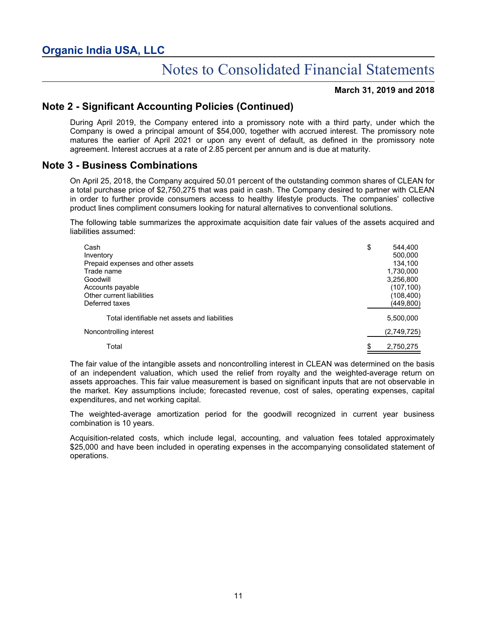#### **March 31, 2019 and 2018**

## **Note 2 - Significant Accounting Policies (Continued)**

During April 2019, the Company entered into a promissory note with a third party, under which the Company is owed a principal amount of \$54,000, together with accrued interest. The promissory note matures the earlier of April 2021 or upon any event of default, as defined in the promissory note agreement. Interest accrues at a rate of 2.85 percent per annum and is due at maturity.

### **Note 3 - Business Combinations**

On April 25, 2018, the Company acquired 50.01 percent of the outstanding common shares of CLEAN for a total purchase price of \$2,750,275 that was paid in cash. The Company desired to partner with CLEAN in order to further provide consumers access to healthy lifestyle products. The companies' collective product lines compliment consumers looking for natural alternatives to conventional solutions.

The following table summarizes the approximate acquisition date fair values of the assets acquired and liabilities assumed:

| Cash                                          | \$<br>544.400   |
|-----------------------------------------------|-----------------|
| Inventory                                     | 500,000         |
| Prepaid expenses and other assets             | 134.100         |
| Trade name                                    | 1,730,000       |
| Goodwill                                      | 3,256,800       |
| Accounts payable                              | (107, 100)      |
| Other current liabilities                     | (108, 400)      |
| Deferred taxes                                | (449,800)       |
| Total identifiable net assets and liabilities | 5,500,000       |
| Noncontrolling interest                       | (2,749,725)     |
| Total                                         | \$<br>2,750,275 |

The fair value of the intangible assets and noncontrolling interest in CLEAN was determined on the basis of an independent valuation, which used the relief from royalty and the weighted-average return on assets approaches. This fair value measurement is based on significant inputs that are not observable in the market. Key assumptions include; forecasted revenue, cost of sales, operating expenses, capital expenditures, and net working capital.

The weighted-average amortization period for the goodwill recognized in current year business combination is 10 years.

Acquisition-related costs, which include legal, accounting, and valuation fees totaled approximately \$25,000 and have been included in operating expenses in the accompanying consolidated statement of operations.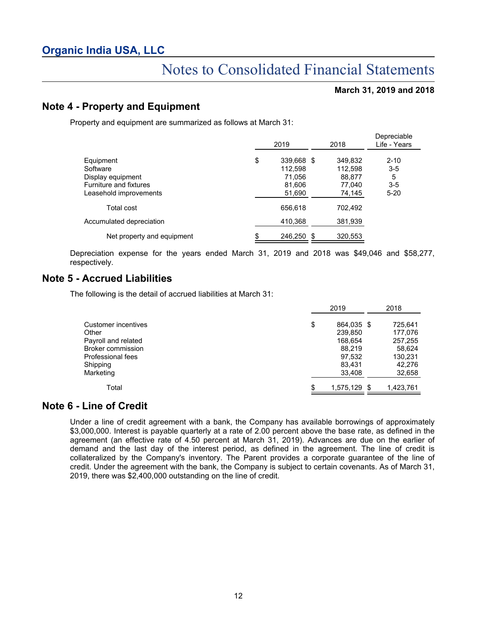#### **March 31, 2019 and 2018**

### **Note 4 - Property and Equipment**

Property and equipment are summarized as follows at March 31:

|                                                                                                | 2019                                                      | 2018                                             | Depreciable<br>Life - Years                   |
|------------------------------------------------------------------------------------------------|-----------------------------------------------------------|--------------------------------------------------|-----------------------------------------------|
| Equipment<br>Software<br>Display equipment<br>Furniture and fixtures<br>Leasehold improvements | \$<br>339,668 \$<br>112.598<br>71.056<br>81,606<br>51,690 | 349,832<br>112.598<br>88.877<br>77,040<br>74,145 | $2 - 10$<br>$3 - 5$<br>5<br>$3-5$<br>$5 - 20$ |
| Total cost                                                                                     | 656,618                                                   | 702,492                                          |                                               |
| Accumulated depreciation                                                                       | 410,368                                                   | 381,939                                          |                                               |
| Net property and equipment                                                                     | \$<br>246.250<br>- \$                                     | 320.553                                          |                                               |

Depreciation expense for the years ended March 31, 2019 and 2018 was \$49,046 and \$58,277, respectively.

### **Note 5 - Accrued Liabilities**

The following is the detail of accrued liabilities at March 31:

|                     | 2019               | 2018      |
|---------------------|--------------------|-----------|
| Customer incentives | \$<br>864.035 \$   | 725,641   |
| Other               | 239.850            | 177,076   |
| Payroll and related | 168,654            | 257,255   |
| Broker commission   | 88.219             | 58,624    |
| Professional fees   | 97,532             | 130,231   |
| Shipping            | 83,431             | 42,276    |
| Marketing           | 33,408             | 32,658    |
| Total               | \$<br>1,575,129 \$ | 1,423,761 |

### **Note 6 - Line of Credit**

Under a line of credit agreement with a bank, the Company has available borrowings of approximately \$3,000,000. Interest is payable quarterly at a rate of 2.00 percent above the base rate, as defined in the agreement (an effective rate of 4.50 percent at March 31, 2019). Advances are due on the earlier of demand and the last day of the interest period, as defined in the agreement. The line of credit is collateralized by the Company's inventory. The Parent provides a corporate guarantee of the line of credit. Under the agreement with the bank, the Company is subject to certain covenants. As of March 31, 2019, there was \$2,400,000 outstanding on the line of credit.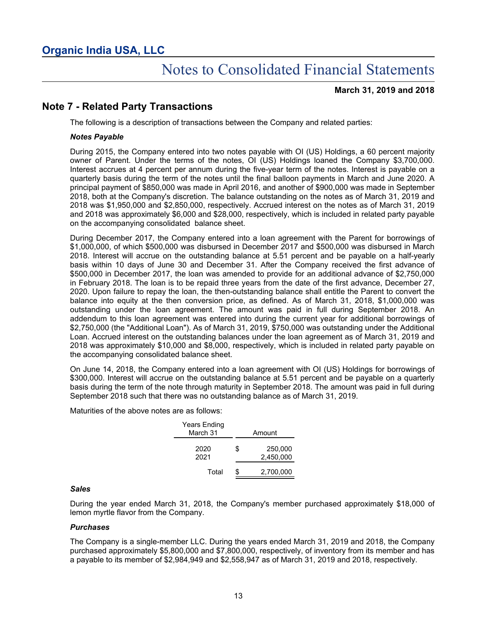#### **March 31, 2019 and 2018**

## **Note 7 - Related Party Transactions**

The following is a description of transactions between the Company and related parties:

#### *Notes Payable*

During 2015, the Company entered into two notes payable with OI (US) Holdings, a 60 percent majority owner of Parent. Under the terms of the notes, OI (US) Holdings loaned the Company \$3,700,000. Interest accrues at 4 percent per annum during the five-year term of the notes. Interest is payable on a quarterly basis during the term of the notes until the final balloon payments in March and June 2020. A principal payment of \$850,000 was made in April 2016, and another of \$900,000 was made in September 2018, both at the Company's discretion. The balance outstanding on the notes as of March 31, 2019 and 2018 was \$1,950,000 and \$2,850,000, respectively. Accrued interest on the notes as of March 31, 2019 and 2018 was approximately \$6,000 and \$28,000, respectively, which is included in related party payable on the accompanying consolidated balance sheet.

During December 2017, the Company entered into a loan agreement with the Parent for borrowings of \$1,000,000, of which \$500,000 was disbursed in December 2017 and \$500,000 was disbursed in March 2018. Interest will accrue on the outstanding balance at 5.51 percent and be payable on a half-yearly basis within 10 days of June 30 and December 31. After the Company received the first advance of \$500,000 in December 2017, the loan was amended to provide for an additional advance of \$2,750,000 in February 2018. The loan is to be repaid three years from the date of the first advance, December 27, 2020. Upon failure to repay the loan, the then-outstanding balance shall entitle the Parent to convert the balance into equity at the then conversion price, as defined. As of March 31, 2018, \$1,000,000 was outstanding under the loan agreement. The amount was paid in full during September 2018. An addendum to this loan agreement was entered into during the current year for additional borrowings of \$2,750,000 (the "Additional Loan"). As of March 31, 2019, \$750,000 was outstanding under the Additional Loan. Accrued interest on the outstanding balances under the loan agreement as of March 31, 2019 and 2018 was approximately \$10,000 and \$8,000, respectively, which is included in related party payable on the accompanying consolidated balance sheet.

On June 14, 2018, the Company entered into a loan agreement with OI (US) Holdings for borrowings of \$300,000. Interest will accrue on the outstanding balance at 5.51 percent and be payable on a quarterly basis during the term of the note through maturity in September 2018. The amount was paid in full during September 2018 such that there was no outstanding balance as of March 31, 2019.

Maturities of the above notes are as follows:

| Years Ending<br>March 31 | Amount |                      |  |  |  |
|--------------------------|--------|----------------------|--|--|--|
| 2020<br>2021             | \$     | 250,000<br>2,450,000 |  |  |  |
| Total                    | \$     | 2,700,000            |  |  |  |

#### *Sales*

During the year ended March 31, 2018, the Company's member purchased approximately \$18,000 of lemon myrtle flavor from the Company.

#### *Purchases*

The Company is a single-member LLC. During the years ended March 31, 2019 and 2018, the Company purchased approximately \$5,800,000 and \$7,800,000, respectively, of inventory from its member and has a payable to its member of \$2,984,949 and \$2,558,947 as of March 31, 2019 and 2018, respectively.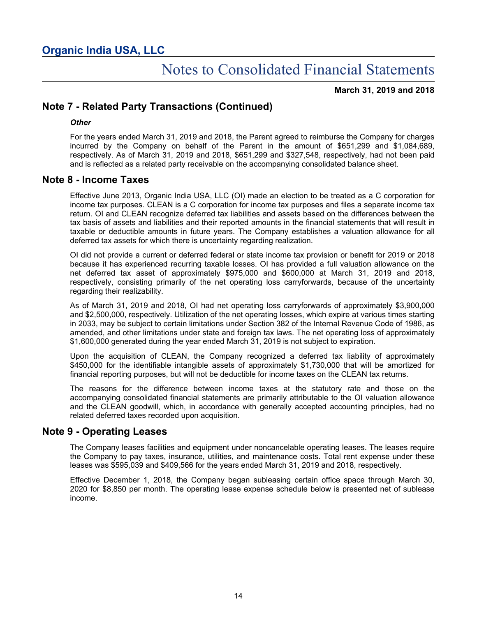**March 31, 2019 and 2018**

## **Note 7 - Related Party Transactions (Continued)**

#### *Other*

For the years ended March 31, 2019 and 2018, the Parent agreed to reimburse the Company for charges incurred by the Company on behalf of the Parent in the amount of \$651,299 and \$1,084,689, respectively. As of March 31, 2019 and 2018, \$651,299 and \$327,548, respectively, had not been paid and is reflected as a related party receivable on the accompanying consolidated balance sheet.

### **Note 8 - Income Taxes**

Effective June 2013, Organic India USA, LLC (OI) made an election to be treated as a C corporation for income tax purposes. CLEAN is a C corporation for income tax purposes and files a separate income tax return. OI and CLEAN recognize deferred tax liabilities and assets based on the differences between the tax basis of assets and liabilities and their reported amounts in the financial statements that will result in taxable or deductible amounts in future years. The Company establishes a valuation allowance for all deferred tax assets for which there is uncertainty regarding realization.

OI did not provide a current or deferred federal or state income tax provision or benefit for 2019 or 2018 because it has experienced recurring taxable losses. OI has provided a full valuation allowance on the net deferred tax asset of approximately \$975,000 and \$600,000 at March 31, 2019 and 2018, respectively, consisting primarily of the net operating loss carryforwards, because of the uncertainty regarding their realizability.

As of March 31, 2019 and 2018, OI had net operating loss carryforwards of approximately \$3,900,000 and \$2,500,000, respectively. Utilization of the net operating losses, which expire at various times starting in 2033, may be subject to certain limitations under Section 382 of the Internal Revenue Code of 1986, as amended, and other limitations under state and foreign tax laws. The net operating loss of approximately \$1,600,000 generated during the year ended March 31, 2019 is not subject to expiration.

Upon the acquisition of CLEAN, the Company recognized a deferred tax liability of approximately \$450,000 for the identifiable intangible assets of approximately \$1,730,000 that will be amortized for financial reporting purposes, but will not be deductible for income taxes on the CLEAN tax returns.

The reasons for the difference between income taxes at the statutory rate and those on the accompanying consolidated financial statements are primarily attributable to the OI valuation allowance and the CLEAN goodwill, which, in accordance with generally accepted accounting principles, had no related deferred taxes recorded upon acquisition.

### **Note 9 - Operating Leases**

The Company leases facilities and equipment under noncancelable operating leases. The leases require the Company to pay taxes, insurance, utilities, and maintenance costs. Total rent expense under these leases was \$595,039 and \$409,566 for the years ended March 31, 2019 and 2018, respectively.

Effective December 1, 2018, the Company began subleasing certain office space through March 30, 2020 for \$8,850 per month. The operating lease expense schedule below is presented net of sublease income.